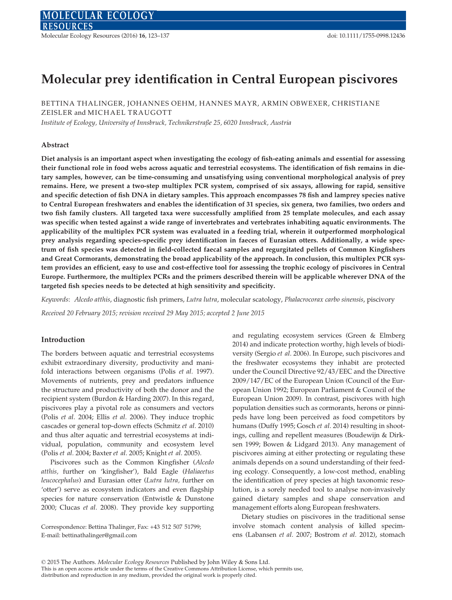# Molecular prey identification in Central European piscivores

BETTINA THALINGER, JOHANNES OEHM, HANNES MAYR, ARMIN OBWEXER, CHRISTIANE ZEISLER and MICHAEL TRAUGOTT Institute of Ecology, University of Innsbruck, Technikerstraße 25, 6020 Innsbruck, Austria

#### Abstract

Diet analysis is an important aspect when investigating the ecology of fish-eating animals and essential for assessing their functional role in food webs across aquatic and terrestrial ecosystems. The identification of fish remains in dietary samples, however, can be time-consuming and unsatisfying using conventional morphological analysis of prey remains. Here, we present a two-step multiplex PCR system, comprised of six assays, allowing for rapid, sensitive and specific detection of fish DNA in dietary samples. This approach encompasses 78 fish and lamprey species native to Central European freshwaters and enables the identification of 31 species, six genera, two families, two orders and two fish family clusters. All targeted taxa were successfully amplified from 25 template molecules, and each assay was specific when tested against a wide range of invertebrates and vertebrates inhabiting aquatic environments. The applicability of the multiplex PCR system was evaluated in a feeding trial, wherein it outperformed morphological prey analysis regarding species-specific prey identification in faeces of Eurasian otters. Additionally, a wide spectrum of fish species was detected in field-collected faecal samples and regurgitated pellets of Common Kingfishers and Great Cormorants, demonstrating the broad applicability of the approach. In conclusion, this multiplex PCR system provides an efficient, easy to use and cost-effective tool for assessing the trophic ecology of piscivores in Central Europe. Furthermore, the multiplex PCRs and the primers described therein will be applicable wherever DNA of the targeted fish species needs to be detected at high sensitivity and specificity.

Keywords: Alcedo atthis, diagnostic fish primers, Lutra lutra, molecular scatology, Phalacrocorax carbo sinensis, piscivory

Received 20 February 2015; revision received 29 May 2015; accepted 2 June 2015

## Introduction

The borders between aquatic and terrestrial ecosystems exhibit extraordinary diversity, productivity and manifold interactions between organisms (Polis et al. 1997). Movements of nutrients, prey and predators influence the structure and productivity of both the donor and the recipient system (Burdon & Harding 2007). In this regard, piscivores play a pivotal role as consumers and vectors (Polis et al. 2004; Ellis et al. 2006). They induce trophic cascades or general top-down effects (Schmitz et al. 2010) and thus alter aquatic and terrestrial ecosystems at individual, population, community and ecosystem level (Polis et al. 2004; Baxter et al. 2005; Knight et al. 2005).

Piscivores such as the Common Kingfisher (Alcedo atthis, further on 'kingfisher'), Bald Eagle (Haliaeetus leucocephalus) and Eurasian otter (Lutra lutra, further on 'otter') serve as ecosystem indicators and even flagship species for nature conservation (Entwistle & Dunstone 2000; Clucas et al. 2008). They provide key supporting

Correspondence: Bettina Thalinger, Fax: +43 512 507 51799; E-mail: bettinathalinger@gmail.com

and regulating ecosystem services (Green & Elmberg 2014) and indicate protection worthy, high levels of biodiversity (Sergio et al. 2006). In Europe, such piscivores and the freshwater ecosystems they inhabit are protected under the Council Directive 92/43/EEC and the Directive 2009/147/EC of the European Union (Council of the European Union 1992; European Parliament & Council of the European Union 2009). In contrast, piscivores with high population densities such as cormorants, herons or pinnipeds have long been perceived as food competitors by humans (Duffy 1995; Gosch et al. 2014) resulting in shootings, culling and repellent measures (Boudewijn & Dirksen 1999; Bowen & Lidgard 2013). Any management of piscivores aiming at either protecting or regulating these animals depends on a sound understanding of their feeding ecology. Consequently, a low-cost method, enabling the identification of prey species at high taxonomic resolution, is a sorely needed tool to analyse non-invasively gained dietary samples and shape conservation and management efforts along European freshwaters.

Dietary studies on piscivores in the traditional sense involve stomach content analysis of killed specimens (Labansen et al. 2007; Bostrom et al. 2012), stomach

© 2015 The Authors. Molecular Ecology Resources Published by John Wiley & Sons Ltd. This is an open access article under the terms of the [Creative Commons Attribution](http://creativecommons.org/licenses/by/4.0/) License, which permits use, distribution and reproduction in any medium, provided the original work is properly cited.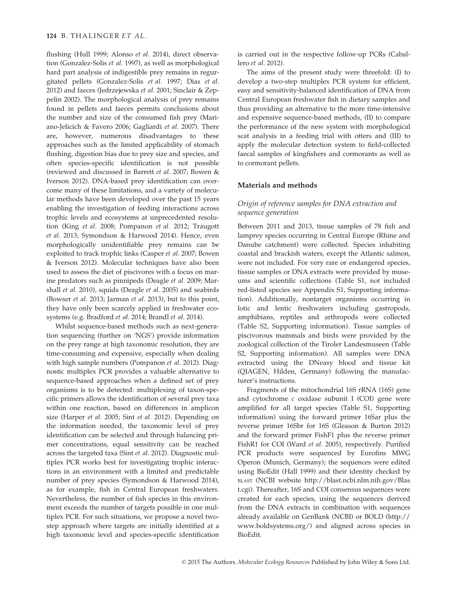#### 124 B. THALINGER ET AL.

flushing (Hull 1999; Alonso et al. 2014), direct observation (Gonzalez-Solis et al. 1997), as well as morphological hard part analysis of indigestible prey remains in regurgitated pellets (Gonzalez-Solis et al. 1997; Dias et al. 2012) and faeces (Jedrzejewska et al. 2001; Sinclair & Zeppelin 2002). The morphological analysis of prey remains found in pellets and faeces permits conclusions about the number and size of the consumed fish prey (Mariano-Jelicich & Favero 2006; Gagliardi et al. 2007). There are, however, numerous disadvantages to these approaches such as the limited applicability of stomach flushing, digestion bias due to prey size and species, and often species-specific identification is not possible (reviewed and discussed in Barrett et al. 2007; Bowen & Iverson 2012). DNA-based prey identification can overcome many of these limitations, and a variety of molecular methods have been developed over the past 15 years enabling the investigation of feeding interactions across trophic levels and ecosystems at unprecedented resolution (King et al. 2008; Pompanon et al. 2012; Traugott et al. 2013; Symondson & Harwood 2014). Hence, even morphologically unidentifiable prey remains can be exploited to track trophic links (Casper et al. 2007; Bowen & Iverson 2012). Molecular techniques have also been used to assess the diet of piscivores with a focus on marine predators such as pinnipeds (Deagle et al. 2009; Marshall et al. 2010), squids (Deagle et al. 2005) and seabirds (Bowser et al. 2013; Jarman et al. 2013), but to this point, they have only been scarcely applied in freshwater ecosystems (e.g. Bradford et al. 2014; Brandl et al. 2014).

Whilst sequence-based methods such as next-generation sequencing (further on 'NGS') provide information on the prey range at high taxonomic resolution, they are time-consuming and expensive, especially when dealing with high sample numbers (Pompanon et al. 2012). Diagnostic multiplex PCR provides a valuable alternative to sequence-based approaches when a defined set of prey organisms is to be detected: multiplexing of taxon-specific primers allows the identification of several prey taxa within one reaction, based on differences in amplicon size (Harper et al. 2005; Sint et al. 2012). Depending on the information needed, the taxonomic level of prey identification can be selected and through balancing primer concentrations, equal sensitivity can be reached across the targeted taxa (Sint et al. 2012). Diagnostic multiplex PCR works best for investigating trophic interactions in an environment with a limited and predictable number of prey species (Symondson & Harwood 2014), as for example, fish in Central European freshwaters. Nevertheless, the number of fish species in this environment exceeds the number of targets possible in one multiplex PCR. For such situations, we propose a novel twostep approach where targets are initially identified at a high taxonomic level and species-specific identification

is carried out in the respective follow-up PCRs (Caballero et al. 2012).

The aims of the present study were threefold: (I) to develop a two-step multiplex PCR system for efficient, easy and sensitivity-balanced identification of DNA from Central European freshwater fish in dietary samples and thus providing an alternative to the more time-intensive and expensive sequence-based methods, (II) to compare the performance of the new system with morphological scat analysis in a feeding trial with otters and (III) to apply the molecular detection system to field-collected faecal samples of kingfishers and cormorants as well as to cormorant pellets.

## Materials and methods

# Origin of reference samples for DNA extraction and sequence generation

Between 2011 and 2013, tissue samples of 78 fish and lamprey species occurring in Central Europe (Rhine and Danube catchment) were collected. Species inhabiting coastal and brackish waters, except the Atlantic salmon, were not included. For very rare or endangered species, tissue samples or DNA extracts were provided by museums and scientific collections (Table S1, not included red-listed species see Appendix S1, Supporting information). Additionally, nontarget organisms occurring in lotic and lentic freshwaters including gastropods, amphibians, reptiles and arthropods were collected (Table S2, Supporting information). Tissue samples of piscivorous mammals and birds were provided by the zoological collection of the Tiroler Landesmuseen (Table S2, Supporting information). All samples were DNA extracted using the DNeasy blood and tissue kit (QIAGEN, Hilden, Germany) following the manufacturer's instructions.

Fragments of the mitochondrial 16S rRNA (16S) gene and cytochrome  $c$  oxidase subunit I (COI) gene were amplified for all target species (Table S1, Supporting information) using the forward primer 16Sar plus the reverse primer 16Sbr for 16S (Gleason & Burton 2012) and the forward primer FishF1 plus the reverse primer FishR1 for COI (Ward et al. 2005), respectively. Purified PCR products were sequenced by Eurofins MWG Operon (Munich, Germany); the sequences were edited using BioEdit (Hall 1999) and their identity checked by BLAST (NCBI website [http://blast.ncbi.nlm.nih.gov/Blas](http://blast.ncbi.nlm.nih.gov/Blast.cgi) [t.cgi\)](http://blast.ncbi.nlm.nih.gov/Blast.cgi). Thereafter, 16S and COI consensus sequences were created for each species, using the sequences derived from the DNA extracts in combination with sequences already available on GenBank (NCBI) or BOLD [\(http://](http://www.boldsystems.org/) [www.boldsystems.org/](http://www.boldsystems.org/)) and aligned across species in BioEdit.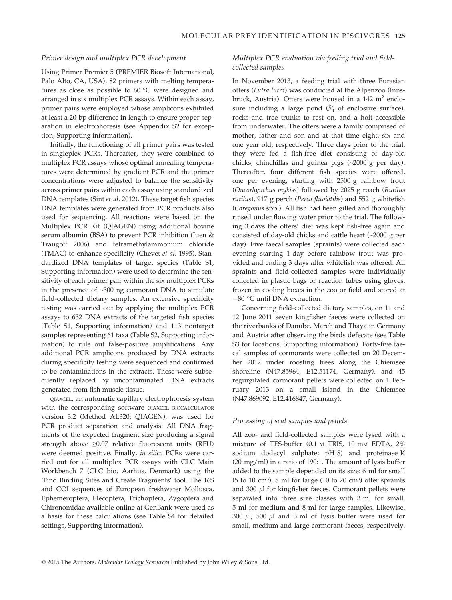## Primer design and multiplex PCR development

Using Primer Premier 5 (PREMIER Biosoft International, Palo Alto, CA, USA), 82 primers with melting temperatures as close as possible to 60 °C were designed and arranged in six multiplex PCR assays. Within each assay, primer pairs were employed whose amplicons exhibited at least a 20-bp difference in length to ensure proper separation in electrophoresis (see Appendix S2 for exception, Supporting information).

Initially, the functioning of all primer pairs was tested in singleplex PCRs. Thereafter, they were combined to multiplex PCR assays whose optimal annealing temperatures were determined by gradient PCR and the primer concentrations were adjusted to balance the sensitivity across primer pairs within each assay using standardized DNA templates (Sint et al. 2012). These target fish species DNA templates were generated from PCR products also used for sequencing. All reactions were based on the Multiplex PCR Kit (QIAGEN) using additional bovine serum albumin (BSA) to prevent PCR inhibition (Juen & Traugott 2006) and tetramethylammonium chloride (TMAC) to enhance specificity (Chevet et al. 1995). Standardized DNA templates of target species (Table S1, Supporting information) were used to determine the sensitivity of each primer pair within the six multiplex PCRs in the presence of ~300 ng cormorant DNA to simulate field-collected dietary samples. An extensive specificity testing was carried out by applying the multiplex PCR assays to 632 DNA extracts of the targeted fish species (Table S1, Supporting information) and 113 nontarget samples representing 61 taxa (Table S2, Supporting information) to rule out false-positive amplifications. Any additional PCR amplicons produced by DNA extracts during specificity testing were sequenced and confirmed to be contaminations in the extracts. These were subsequently replaced by uncontaminated DNA extracts generated from fish muscle tissue.

QIAXCEL, an automatic capillary electrophoresis system with the corresponding software QIAXCEL BIOCALCULATOR version 3.2 (Method AL320; QIAGEN), was used for PCR product separation and analysis. All DNA fragments of the expected fragment size producing a signal strength above  $\geq 0.07$  relative fluorescent units (RFU) were deemed positive. Finally, in silico PCRs were carried out for all multiplex PCR assays with CLC Main Workbench 7 (CLC bio, Aarhus, Denmark) using the 'Find Binding Sites and Create Fragments' tool. The 16S and COI sequences of European freshwater Mollusca, Ephemeroptera, Plecoptera, Trichoptera, Zygoptera and Chironomidae available online at GenBank were used as a basis for these calculations (see Table S4 for detailed settings, Supporting information).

# Multiplex PCR evaluation via feeding trial and fieldcollected samples

In November 2013, a feeding trial with three Eurasian otters (Lutra lutra) was conducted at the Alpenzoo (Innsbruck, Austria). Otters were housed in a 142  $m^2$  enclosure including a large pond  $(\frac{2}{3})$  of enclosure surface), rocks and tree trunks to rest on, and a holt accessible from underwater. The otters were a family comprised of mother, father and son and at that time eight, six and one year old, respectively. Three days prior to the trial, they were fed a fish-free diet consisting of day-old chicks, chinchillas and guinea pigs (~2000 g per day). Thereafter, four different fish species were offered, one per evening, starting with 2500 g rainbow trout (Oncorhynchus mykiss) followed by 2025 g roach (Rutilus rutilus), 917 g perch (Perca fluviatilis) and 552 g whitefish (Coregonus spp.). All fish had been gilled and thoroughly rinsed under flowing water prior to the trial. The following 3 days the otters' diet was kept fish-free again and consisted of day-old chicks and cattle heart (~2000 g per day). Five faecal samples (spraints) were collected each evening starting 1 day before rainbow trout was provided and ending 3 days after whitefish was offered. All spraints and field-collected samples were individually collected in plastic bags or reaction tubes using gloves, frozen in cooling boxes in the zoo or field and stored at -80 °C until DNA extraction.

Concerning field-collected dietary samples, on 11 and 12 June 2011 seven kingfisher faeces were collected on the riverbanks of Danube, March and Thaya in Germany and Austria after observing the birds defecate (see Table S3 for locations, Supporting information). Forty-five faecal samples of cormorants were collected on 20 December 2012 under roosting trees along the Chiemsee shoreline (N47.85964, E12.51174, Germany), and 45 regurgitated cormorant pellets were collected on 1 February 2013 on a small island in the Chiemsee (N47.869092, E12.416847, Germany).

## Processing of scat samples and pellets

All zoo- and field-collected samples were lysed with a mixture of TES-buffer (0.1 M TRIS, 10 mM EDTA, 2% sodium dodecyl sulphate; pH 8) and proteinase K (20 mg/ml) in a ratio of 190:1. The amount of lysis buffer added to the sample depended on its size: 6 ml for small  $(5 \text{ to } 10 \text{ cm}^3)$ , 8 ml for large  $(10 \text{ to } 20 \text{ cm}^3)$  otter spraints and 300  $\mu$ l for kingfisher faeces. Cormorant pellets were separated into three size classes with 3 ml for small, 5 ml for medium and 8 ml for large samples. Likewise, 300  $\mu$ l, 500  $\mu$ l and 3 ml of lysis buffer were used for small, medium and large cormorant faeces, respectively.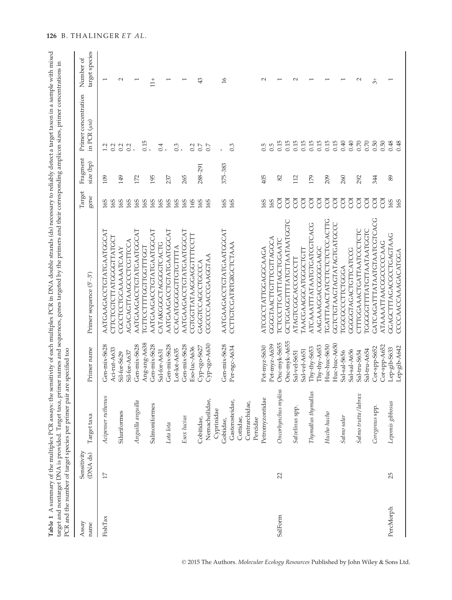Table 1 A summary of the multiplex PCR assays: the sensitivity of each multiplex PCR in DNA double strands (ds) necessary to reliably detect a target taxon in a sample with mixed target and nontarget DNA is provided. Targe Table 1 A summary of the multiplex PCR assays: the sensitivity of each multiplex PCR in DNA double strands (ds) necessary to reliably detect a target taxon in a sample with mixed target and nontarget DNA is provided. Target taxa, primer names and sequences, genes targeted by the primers and their corresponding amplicon sizes, primer concentrations in PCR and the number of target species per primer pair are specified too

|               |                         | I CK and the number of target species per primer pair are specified too |                              |                                                  |                |                       |                                          |                             |
|---------------|-------------------------|-------------------------------------------------------------------------|------------------------------|--------------------------------------------------|----------------|-----------------------|------------------------------------------|-----------------------------|
| Assay<br>name | Sensitivity<br>(DNA ds) | Target taxa                                                             | Primer name                  | Primer sequence (5'-3')                          | Target<br>gene | Fragment<br>size (bp) | Primer concentration<br>in PCR $(\mu M)$ | target species<br>Number of |
| FishTax       | $\overline{\Gamma}$     | Acipenser ruthenus                                                      | Gen-mix-S628                 | AATGAAGACCTGTATGAATGCAT                          | 16S            | 109                   | $1.2$ 0.2                                | $\overline{ }$              |
|               |                         | Siluriformes                                                            | Aci-rut-A633<br>Sil-for-S629 | CITCICGICITATGGCITATGCI<br>CGCCTCCTGCAAAAATCAAY  | 16S<br>16S     | 149                   | 0.2                                      | $\sim$                      |
|               |                         |                                                                         | Sil-for-A637                 | AGACAGITAAGCCTCGITCCA                            | 16S            |                       | 0.2                                      |                             |
|               |                         | Anguilla anguilla                                                       | Gen-mix-S628                 | AATGAAGACCTGTATGAATGGCAT                         | 16S            | 172                   |                                          |                             |
|               |                         | Salmoniformes                                                           | Ang-ang-A638<br>Gen-mix-5628 | AATGAAGACCTGTATGAATGCAT<br>TGTTCCTTTTGGTTGGTTGGT | 16S<br>16S     | 195                   | 0.15<br>$^\star$                         | $\frac{1}{11}$              |
|               |                         |                                                                         | Sal-for-A631                 | CATAKGGGCTAGGGTCACTG                             | 16S            |                       | 0.4                                      |                             |
|               |                         | Lota lota                                                               | Gen-mix-S628                 | AATGAAGACCTGTATGAATGCAT                          | 16S            | 237                   | $^\star$                                 |                             |
|               |                         |                                                                         | Lot-lot-A635                 | CCACATGGGGGTTGTTTTA                              | 165            |                       | 0.3                                      |                             |
|               |                         | Esox lucius                                                             | Gen-mix-5628                 | AATGAAGACCTGTATGAATGGCAT                         | 16S            | 265                   |                                          |                             |
|               |                         |                                                                         | Eso-luc-A636                 | CGTGGTTATAAGGAGGTTTCCTT                          | 16S            |                       | 0.2                                      |                             |
|               |                         | Cobitidae,                                                              | Cyp-cgo-S627                 | GAGGTCCAGCCTGCCCA                                | 165            | 288-291               | 0.7                                      | 43                          |
|               |                         | Nemacheilidae,                                                          | Cyp-cgo-A630                 | CGCCCAACCGAAGGTAA                                | 165            |                       | 0.7                                      |                             |
|               |                         | Cyprinidae                                                              |                              |                                                  |                |                       |                                          |                             |
|               |                         | Gobiidae,                                                               | Gen-mix-5628                 | AATGAAGACCTGTATGAATGCAT                          | 16S            | 375–383               |                                          | 16                          |
|               |                         | Gasterosteidae,                                                         | Per-ngc-A634                 | CCTTGTCGATRTGRGCTCTAAA                           | 16S            |                       | 0.3                                      |                             |
|               |                         | Cottidae,                                                               |                              |                                                  |                |                       |                                          |                             |
|               |                         | Centrarchidae,                                                          |                              |                                                  |                |                       |                                          |                             |
|               |                         | Percidae                                                                |                              |                                                  |                |                       |                                          |                             |
|               |                         | Petromyzontidae                                                         | Pet-myz-S630                 | ATCGCCTATTGGAGGCAAGA                             | 16S            | 405                   | 0.5                                      | 2                           |
|               |                         |                                                                         | Pet-myz-A639                 | GGGGTAACTTGTTTCGTTAGGCA                          | 16S            |                       | 0.5                                      |                             |
| SalForm       | $\mathbb{Z}$            | Oncorhynchus mykiss                                                     | Onc-myk-S655                 | <b>TCTCCCTTCATTTAGCTGGAATC</b>                   | g              | 82                    | 0.15                                     |                             |
|               |                         |                                                                         | Onc-myk-A655                 | GCTGGAGGTTTATGTTAATAATGGTC                       | g              |                       | 0.15                                     |                             |
|               |                         | Salvelinus spp.                                                         | Sal-vel-S651                 | ATAGTCGGCACCGCCTT                                | g              | 112                   | 0.15                                     | $\sim$                      |
|               |                         |                                                                         | Sal-vel-A651                 | TAACGAAGGCATGGCTGTT                              | g              |                       | 0.15                                     |                             |
|               |                         | Thymallus thymallus                                                     | Thy-thy-S653                 | ATCAAATTTATAATGTGATCGTCACG                       | <b>COI</b>     | 179                   | 0.15                                     |                             |
|               |                         |                                                                         | Thy-thy-A653                 | AAGAAAGGACGGGGAAGC                               | g              |                       | 0.15                                     |                             |
|               |                         | Hucho hucho                                                             | Huc-huc-S650                 | TGATTTAACTATCTTCTCCCACTTG                        | <b>COI</b>     | 209                   | 0.15                                     |                             |
|               |                         |                                                                         | Huc-huc-A650                 | GGTCTGTAAGTAGTAGTGATGCC                          | g              |                       | 0.15                                     |                             |
|               |                         | Salmo salar                                                             | Sal-sal-S656                 | TGGGGCCTTCTGGGA                                  | <b>COI</b>     | 260                   | 0.40                                     |                             |
|               |                         |                                                                         | Sal-sal-A656                 | GGGGTAGACTGTTCATCCG                              | g              |                       | 0.40                                     |                             |
|               |                         | Salmo trutta/labrax                                                     | Sal-tru-S654                 | CTTTGGAAACTGATTAATCCCTCTC                        | g              | 292                   | 0.70                                     | $\sim$                      |
|               |                         |                                                                         | Sal-tru-A654                 | <b>IGGGGTTTTATGTTAATAATGGTC</b>                  | g              |                       | 0.70                                     |                             |
|               |                         | Coregonus spp.                                                          | Cor-spp-5652                 | GATCAGATTTATAATGTAATCGTCACG                      | g              | 344                   | 0.50                                     | $\ddot{\sigma}$             |
|               |                         |                                                                         | Cor-spp-A652                 | ATAAAATTAACGCCCCCAAG                             | g              |                       | 0.50                                     |                             |
| PercMorph     | 25                      | Lepomis gibbosus                                                        | Lep-gib-5633                 | GGAGCTTTAGACGCCTGAGTAAG                          | 16S            | 89                    | 0.48                                     |                             |
|               |                         |                                                                         | Lep-gib-A642                 | CCCCAACCAAAGACATGGA                              | 165            |                       | 0.48                                     |                             |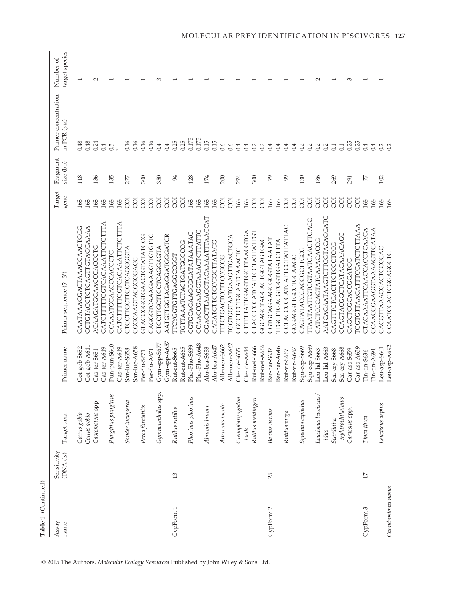| Table 1 (Continued) |                         |                      |              |                                    |                |                       |                                          |                             |
|---------------------|-------------------------|----------------------|--------------|------------------------------------|----------------|-----------------------|------------------------------------------|-----------------------------|
| Assay<br>name       | Sensitivity<br>(DNA ds) | Target taxa          | Primer name  | Primer sequence (5'-3')            | Target<br>gene | Fragment<br>size (bp) | Primer concentration<br>in PCR $(\mu M)$ | target species<br>Number of |
|                     |                         | Cottus gobio         | Cot-gob-S632 | GAATAAAGGACTAAACCAAGTGGG           | 16S            | 118                   | 0.48                                     |                             |
|                     |                         | Cottus gobio         | Cot-gob-A641 | GCTGTAGCTCCAGTTGTAGGAAAA           | 165            |                       | 0.48                                     |                             |
|                     |                         | Gasterosteus spp.    | Gas-ter-S631 | ACAAGATGGAACCCACCTG                | 165            | 136                   | 0.24                                     | $\sim$                      |
|                     |                         |                      | Gas-ter-A649 | <b>GATCTTTTTGGTCAGAAATTCTGTTTA</b> | 165            |                       | 0.4                                      |                             |
|                     |                         | Pungitius pungitius  | Pun-pun-S640 | CCAAATGGAACCCACCTG                 | 165            | 135                   | 0.5                                      |                             |
|                     |                         |                      | Gas-ter-A649 | GATCITITITGGTCAGAAATTCTGTTTA       | 165            |                       |                                          |                             |
|                     |                         | Sander lucioperca    | San-luc-S658 | CTCCTTGCTTCCTCAGGGGTA              | g              | 277                   | 0.16                                     |                             |
|                     |                         |                      | San-luc-A658 | CGGCAAGTACGGGGAGC                  | g              |                       | 0.16                                     |                             |
|                     |                         | Perca fluviatilis    | Per-flu-S671 | <b>GTACCGGGTGAACTGTATATCCG</b>     | g              | 300                   | 0.16                                     |                             |
|                     |                         |                      | Per-flu-A671 | CAGGGTCAAAGAAAGTTGTGTTC            | g              |                       | 0.16                                     |                             |
|                     |                         | Gymnocephalus spp.   | Gym-spp-S677 | CTCCTTGCTTCCTCAGGAGTA              | g              | 350                   | 0.4                                      | ∞                           |
|                     |                         |                      | Gym-spp-A657 | AATGTTGGTAGAGGATGGATCR             | g              |                       | 0.4                                      |                             |
| CypForm 1           | 13                      | Rutilus rutilus      | Rut-rut-S665 | <b>TTCYGGTGTTGAGGCCGT</b>          | g              | 94                    | 0.25                                     |                             |
|                     |                         |                      | Rut-rut-A665 | TGTTAAATCTACTGATGCCCG              | g              |                       | 0.25                                     |                             |
|                     |                         | Phoxinus phoxinus    | Pho-Pho-S639 | CGTGCAGAAGCGGATATAATAC             | 165            | 128                   | 0.175                                    |                             |
|                     |                         |                      | Pho-Pho-A648 | CCAACCGAAGGTAAAGTCTTATTG           | 165            |                       | 0.175                                    |                             |
|                     |                         | Abramis brama        | Abr-bra-S638 | GGAGCITAAGGTACAAAATTTAACCAT        | 16S            | 174                   | 0.15                                     |                             |
|                     |                         |                      | Abr-bra-A647 | CAGATGTTCTGCGGCTTATAGG             | 165            |                       | 0.15                                     |                             |
|                     |                         | Alburnus mento       | Alb-men-5662 | TTTCTGACTCCTTCCGCCG                | <b>COI</b>     | 200                   | 0.6                                      |                             |
|                     |                         |                      | Alb-men-A662 | <b>IGGTGGTAATGAAGTTGACTGCA</b>     | g              |                       | 0.6                                      |                             |
|                     |                         | Ctenopharyngodon     | Cte-ide-S635 | CGCCTCCTGCAATCAAACTC               | 165            | 274                   | 0.4                                      |                             |
|                     |                         | idella               | Cte-ide-A644 | CITITIATIGAGTIGCITAACGTGA          | 165            |                       | 0.4                                      |                             |
|                     |                         | Rutilus meidingeri   | Rut-mei-S666 | CTACCCCCATCATTCCTATTATTGT          | g              | 300                   | 0.2                                      |                             |
|                     |                         |                      | Rut-mei-A666 | GGCAGCTAGCACTGGTAGTGAC             | g              |                       | 0.2                                      |                             |
| CypForm 2           | 25                      | Barbus barbus        | Bar-bar-S637 | CGTGCAGAAGCGGGTATAATAT             | 165            | 29                    | 0.4                                      |                             |
|                     |                         |                      | Bar-bar-A646 | <b>TTGCTTGACGTGGTTGATCTTTA</b>     | 165            |                       | 0.4                                      |                             |
|                     |                         | Rutilus virgo        | Rut-vir-S667 | CCTACCCCATCATTCCTATTATTAC          | g              | 99                    | 0.4                                      |                             |
|                     |                         |                      | Rut-vir-A667 | GCGAGGTTGCCTGCAAGC                 | g              |                       | 0.4                                      |                             |
|                     |                         | Squalius cephalus    | Squ-cep-S669 | CAGTATACCCACCGTTGCG                | g              | 130                   | 0.2                                      |                             |
|                     |                         |                      | Squ-cep-A669 | <b>TTAATAATTGTGGTAATGAAGTTGACC</b> | g              |                       | 0.2                                      |                             |
|                     |                         | Leuciscus leuciscus/ | Leu-lid-S663 | CATCTCCAGTATCAAACACCG              | g              | 186                   | 0.2                                      | $\sim$                      |
|                     |                         | idus                 | Leu-lid-A663 | AATCAGAATAAGTGTTGGTACAGGATC        | g              |                       | 0.2                                      |                             |
|                     |                         | Scardinius           | Sca-ery-S668 | GAGTTTCTGACTTCTCCTCCG              | g              | 269                   | $\overline{0.1}$                         |                             |
|                     |                         | eryhtrophthalmus     | Sca-ery-A668 | CCAGTACGGCTCATACAAACAGC            | g              |                       | 0.1                                      |                             |
|                     |                         | Carassius spp.       | Car-ass-S659 | GAGCTGGCACCGGATGG                  | g              | 291                   | 0.25                                     | 3                           |
|                     |                         |                      | Car-ass-A659 | TGGTGTTAAGATTTCGATCTGTTAAA         | g              |                       | 0.25                                     |                             |
| CypForm 3           | $\Box$                  | Tinca tinca          | Tin-tin-S636 | GTACAAAATTCAACCACGTCAAGA           | 16S            | 77                    | 0.4                                      |                             |
|                     |                         |                      | Tin-tin-A691 | CCAACCGAAGGTAAAAGTTCATAA           | 165            |                       | 0.4                                      |                             |
|                     |                         | Leuciscus aspius     | Leu-asp-S641 | CACGITAAACGACTCCCAC                | 16S            | 102                   | 0.2                                      |                             |
| Chondrostoma nasus  |                         |                      | Leu-asp-A692 | CCAATCCACTCGGAGGCTC                | 165            |                       |                                          |                             |

© 2015 The Authors. Molecular Ecology Resources Published by John Wiley & Sons Ltd.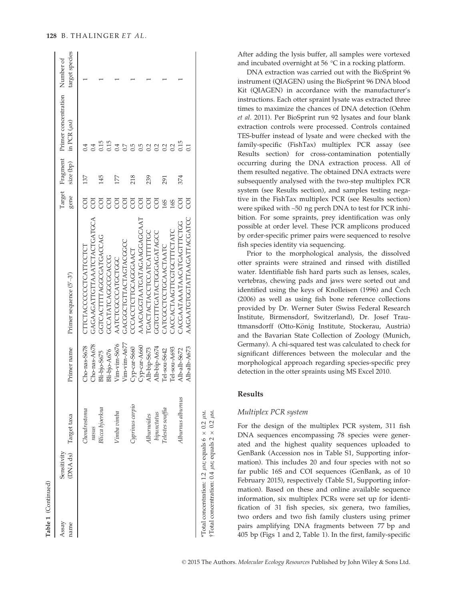| 0.15<br>0.15<br>0.15<br>0.2<br>0.4<br>0.5<br>$0.\overline{5}$<br>0.2<br>0.2<br>0.4<br>0.4<br>$\overline{0}$ .<br>0.2<br>size(bp)<br>145<br>218<br>239<br>374<br>137<br>177<br>291<br>gene<br>ğ<br>ğ<br>ā<br>ā<br>g<br>ā<br>ā<br>ā<br>g<br>165<br><b>991</b><br>GAGAAGATTGTTAATCTACTGATGCA<br>AAACAGGTAATGATAGAAGGAGCAAT<br>CACGAATAAATAACATGAGTTTCTGG<br>CACCACTAAGTTGCTTTCTATC<br><b>TGACTACTACCTCCATCATTTTGC</b><br>GGTGTTTGATACTGGAGATAGC<br>GGTCACTTTAGGGATGACCAG<br>GACGGCTGTTACTAGTACGCC<br>CATCGCCTCCAACTAATC<br>CITCTACCCCCTCATTCCTCT<br>CCCACCTTGCAGGAACT<br>GCCATATCAGCGCACCG<br>AATCTCGCCCATGCTGC<br>Vim-vim-A677<br>Vim-vim-S676<br>Cho-nas-A678<br>Cho-nas-S678<br>Cyp-car-A660<br>Cyp-car-S660<br>Primer name<br>Alb-bip-A674<br>Tel-sou-A693<br>Alb-bip-S673<br>Tel-sou-S642<br>Bli-bjo-A676<br>Alb-alb-S672<br>Bli-bjo-S675<br>Alburnus alburnus<br>Cyprinus carpio<br>Blicca bjoerkna<br>Telestes souffia<br>Chondrostoma<br>Vimba vimba<br>bipunctatus<br>Target taxa<br>Alburnoides<br>uasus<br>name | Assay                                                             | Sensitivity |              |                             | Target | Fragment Primer concentration Number of |                |
|-------------------------------------------------------------------------------------------------------------------------------------------------------------------------------------------------------------------------------------------------------------------------------------------------------------------------------------------------------------------------------------------------------------------------------------------------------------------------------------------------------------------------------------------------------------------------------------------------------------------------------------------------------------------------------------------------------------------------------------------------------------------------------------------------------------------------------------------------------------------------------------------------------------------------------------------------------------------------------------------------------------------------|-------------------------------------------------------------------|-------------|--------------|-----------------------------|--------|-----------------------------------------|----------------|
|                                                                                                                                                                                                                                                                                                                                                                                                                                                                                                                                                                                                                                                                                                                                                                                                                                                                                                                                                                                                                         |                                                                   | (DNA ds)    |              | Primer sequence (5'-3')     |        | in PCR $(\mu M)$                        | target species |
|                                                                                                                                                                                                                                                                                                                                                                                                                                                                                                                                                                                                                                                                                                                                                                                                                                                                                                                                                                                                                         |                                                                   |             |              |                             |        |                                         |                |
|                                                                                                                                                                                                                                                                                                                                                                                                                                                                                                                                                                                                                                                                                                                                                                                                                                                                                                                                                                                                                         |                                                                   |             |              |                             |        |                                         |                |
|                                                                                                                                                                                                                                                                                                                                                                                                                                                                                                                                                                                                                                                                                                                                                                                                                                                                                                                                                                                                                         |                                                                   |             |              |                             |        |                                         |                |
|                                                                                                                                                                                                                                                                                                                                                                                                                                                                                                                                                                                                                                                                                                                                                                                                                                                                                                                                                                                                                         |                                                                   |             |              |                             |        |                                         |                |
|                                                                                                                                                                                                                                                                                                                                                                                                                                                                                                                                                                                                                                                                                                                                                                                                                                                                                                                                                                                                                         |                                                                   |             |              |                             |        |                                         |                |
|                                                                                                                                                                                                                                                                                                                                                                                                                                                                                                                                                                                                                                                                                                                                                                                                                                                                                                                                                                                                                         |                                                                   |             |              |                             |        |                                         |                |
|                                                                                                                                                                                                                                                                                                                                                                                                                                                                                                                                                                                                                                                                                                                                                                                                                                                                                                                                                                                                                         |                                                                   |             |              |                             |        |                                         |                |
|                                                                                                                                                                                                                                                                                                                                                                                                                                                                                                                                                                                                                                                                                                                                                                                                                                                                                                                                                                                                                         |                                                                   |             |              |                             |        |                                         |                |
|                                                                                                                                                                                                                                                                                                                                                                                                                                                                                                                                                                                                                                                                                                                                                                                                                                                                                                                                                                                                                         |                                                                   |             |              |                             |        |                                         |                |
|                                                                                                                                                                                                                                                                                                                                                                                                                                                                                                                                                                                                                                                                                                                                                                                                                                                                                                                                                                                                                         |                                                                   |             |              |                             |        |                                         |                |
|                                                                                                                                                                                                                                                                                                                                                                                                                                                                                                                                                                                                                                                                                                                                                                                                                                                                                                                                                                                                                         |                                                                   |             |              |                             |        |                                         |                |
|                                                                                                                                                                                                                                                                                                                                                                                                                                                                                                                                                                                                                                                                                                                                                                                                                                                                                                                                                                                                                         |                                                                   |             |              |                             |        |                                         |                |
|                                                                                                                                                                                                                                                                                                                                                                                                                                                                                                                                                                                                                                                                                                                                                                                                                                                                                                                                                                                                                         |                                                                   |             |              |                             |        |                                         |                |
|                                                                                                                                                                                                                                                                                                                                                                                                                                                                                                                                                                                                                                                                                                                                                                                                                                                                                                                                                                                                                         |                                                                   |             | Alb-alb-A673 | AAGAATGTGGTATTAAGATTACGATCC | g      |                                         |                |
|                                                                                                                                                                                                                                                                                                                                                                                                                                                                                                                                                                                                                                                                                                                                                                                                                                                                                                                                                                                                                         | †Total concentration: 0.4 $\mu$ s; equals 2 $\times$ 0.2 $\mu$ s. |             |              |                             |        |                                         |                |

 $T - 1 - 4$  (C  $T - 1 - 1$ )

After adding the lysis buffer, all samples were vortexed and incubated overnight at 56 °C in a rocking platform.

DNA extraction was carried out with the BioSprint 96 instrument (QIAGEN) using the BioSprint 96 DNA blood Kit (QIAGEN) in accordance with the manufacturer's instructions. Each otter spraint lysate was extracted three times to maximize the chances of DNA detection (Oehm et al. 2011). Per BioSprint run 92 lysates and four blank extraction controls were processed. Controls contained TES-buffer instead of lysate and were checked with the family-specific (FishTax) multiplex PCR assay (see Results section) for cross-contamination potentially occurring during the DNA extraction process. All of them resulted negative. The obtained DNA extracts were subsequently analysed with the two-step multiplex PCR system (see Results section), and samples testing negative in the FishTax multiplex PCR (see Results section) were spiked with ~50 ng perch DNA to test for PCR inhibition. For some spraints, prey identification was only possible at order level. These PCR amplicons produced by order-specific primer pairs were sequenced to resolve fish species identity via sequencing.

Prior to the morphological analysis, the dissolved otter spraints were strained and rinsed with distilled water. Identifiable fish hard parts such as lenses, scales, vertebras, chewing pads and jaws were sorted out and identified using the keys of Knolleisen (1996) and Cech (2006) as well as using fish bone reference collections provided by Dr. Werner Suter (Swiss Federal Research Institute, Birmensdorf, Switzerland), Dr. Josef Trauttmansdorff (Otto-König Institute, Stockerau, Austria) and the Bavarian State Collection of Zoology (Munich, Germany). A chi-squared test was calculated to check for significant differences between the molecular and the morphological approach regarding species-specific prey detection in the otter spraints using MS Excel 2010.

## Results

# Multiplex PCR system

For the design of the multiplex PCR system, 311 fish DNA sequences encompassing 78 species were generated and the highest quality sequences uploaded to GenBank (Accession nos in Table S1, Supporting information). This includes 20 and four species with not so far public 16S and COI sequences (GenBank, as of 10 February 2015), respectively (Table S1, Supporting information). Based on these and online available sequence information, six multiplex PCRs were set up for identification of 31 fish species, six genera, two families, two orders and two fish family clusters using primer pairs amplifying DNA fragments between 77 bp and 405 bp (Figs 1 and 2, Table 1). In the first, family-specific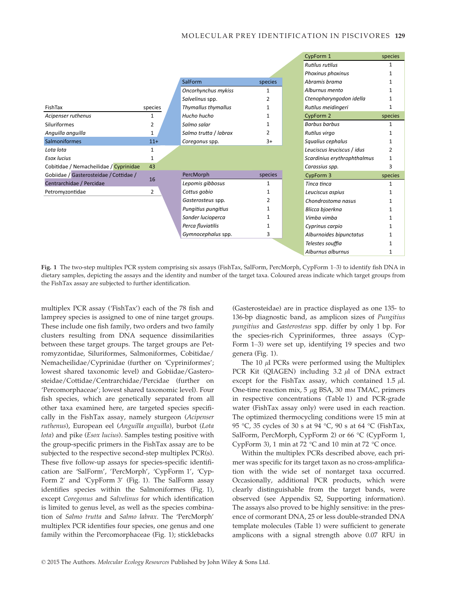## MOLECULAR PREY IDENTIFICATION IN PISCIVORES 129

**CypForm 1** species

|                                        |         |                            |         | <b>Rutilus rutilus</b>      |         |
|----------------------------------------|---------|----------------------------|---------|-----------------------------|---------|
|                                        |         |                            |         | Phoxinus phoxinus           |         |
|                                        |         | SalForm                    | species | Abramis brama               |         |
|                                        |         | Oncorhynchus mykiss        | 1       | Alburnus mento              |         |
|                                        |         | Salvelinus spp.            | 2       | Ctenopharyngodon idella     |         |
| FishTax                                | species | <b>Thymallus thymallus</b> | 1       | Rutilus meidingeri          |         |
| Acipenser ruthenus                     |         | Hucho hucho                |         | CypForm 2                   | species |
| Siluriformes                           |         | Salmo salar                |         | <b>Barbus barbus</b>        |         |
| Anguilla anguilla                      |         | Salmo trutta / labrax      | 2       | Rutilus virgo               |         |
| Salmoniformes                          | $11+$   | Coregonus spp.             | $3+$    | Squalius cephalus           |         |
| Lota lota                              |         |                            |         | Leuciscus leuciscus / idus  |         |
| <b>Esox lucius</b>                     |         |                            |         | Scardinius erythrophthalmus |         |
| Cobitidae / Nemacheilidae / Cyprinidae | 43      |                            |         | Carassius spp.              |         |
| Gobiidae / Gasterosteidae / Cottidae / | 16      | PercMorph                  | species | CypForm 3                   | species |
| Centrarchidae / Percidae               |         | Lepomis gibbosus           | 1       | Tinca tinca                 |         |
| Petromyzontidae                        | 2       | Cottus gobio               |         | Leuciscus aspius            |         |
|                                        |         | Gasterosteus spp.          | 2       | Chondrostoma nasus          |         |
|                                        |         | Pungitius pungitius        |         | Blicca bjoerkna             |         |
|                                        |         | Sander lucioperca          |         | Vimba vimba                 |         |
|                                        |         | Perca fluviatilis          |         | Cyprinus carpio             |         |
|                                        |         | Gymnocephalus spp.         | 3       | Alburnoides bipunctatus     |         |
|                                        |         |                            |         | Telestes souffia            |         |
|                                        |         |                            |         | Alburnus alburnus           |         |

Fig. 1 The two-step multiplex PCR system comprising six assays (FishTax, SalForm, PercMorph, CypForm 1–3) to identify fish DNA in dietary samples, depicting the assays and the identity and number of the target taxa. Coloured areas indicate which target groups from the FishTax assay are subjected to further identification.

multiplex PCR assay ('FishTax') each of the 78 fish and lamprey species is assigned to one of nine target groups. These include one fish family, two orders and two family clusters resulting from DNA sequence dissimilarities between these target groups. The target groups are Petromyzontidae, Siluriformes, Salmoniformes, Cobitidae/ Nemacheilidae/Cyprinidae (further on 'Cypriniformes'; lowest shared taxonomic level) and Gobiidae/Gasterosteidae/Cottidae/Centrarchidae/Percidae (further on 'Percomorphaceae'; lowest shared taxonomic level). Four fish species, which are genetically separated from all other taxa examined here, are targeted species specifically in the FishTax assay, namely sturgeon (Acipenser ruthenus), European eel (Anguilla anguilla), burbot (Lota lota) and pike (Esox lucius). Samples testing positive with the group-specific primers in the FishTax assay are to be subjected to the respective second-step multiplex PCR(s). These five follow-up assays for species-specific identification are 'SalForm', 'PercMorph', 'CypForm 1', 'Cyp-Form 2' and 'CypForm 3' (Fig. 1). The SalForm assay identifies species within the Salmoniformes (Fig. 1), except Coregonus and Salvelinus for which identification is limited to genus level, as well as the species combination of Salmo trutta and Salmo labrax. The 'PercMorph' multiplex PCR identifies four species, one genus and one family within the Percomorphaceae (Fig. 1); sticklebacks

(Gasterosteidae) are in practice displayed as one 135- to 136-bp diagnostic band, as amplicon sizes of Pungitius pungitius and Gasterosteus spp. differ by only 1 bp. For the species-rich Cypriniformes, three assays (Cyp-Form 1–3) were set up, identifying 19 species and two genera (Fig. 1).

The 10  $\mu$ l PCRs were performed using the Multiplex PCR Kit (QIAGEN) including  $3.2 \mu l$  of DNA extract except for the FishTax assay, which contained 1.5  $\mu$ l. One-time reaction mix,  $5 \mu$ g BSA, 30 mm TMAC, primers in respective concentrations (Table 1) and PCR-grade water (FishTax assay only) were used in each reaction. The optimized thermocycling conditions were 15 min at 95 °C, 35 cycles of 30 s at 94 °C, 90 s at 64 °C (FishTax, SalForm, PercMorph, CypForm 2) or 66 °C (CypForm 1, CypForm 3), 1 min at 72  $\degree$ C and 10 min at 72  $\degree$ C once.

Within the multiplex PCRs described above, each primer was specific for its target taxon as no cross-amplification with the wide set of nontarget taxa occurred. Occasionally, additional PCR products, which were clearly distinguishable from the target bands, were observed (see Appendix S2, Supporting information). The assays also proved to be highly sensitive: in the presence of cormorant DNA, 25 or less double-stranded DNA template molecules (Table 1) were sufficient to generate amplicons with a signal strength above 0.07 RFU in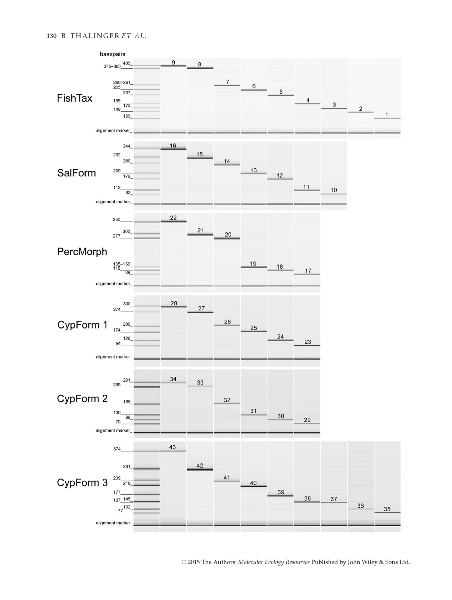# 130 B. THALINGER ET AL.



© 2015 The Authors. Molecular Ecology Resources Published by John Wiley & Sons Ltd.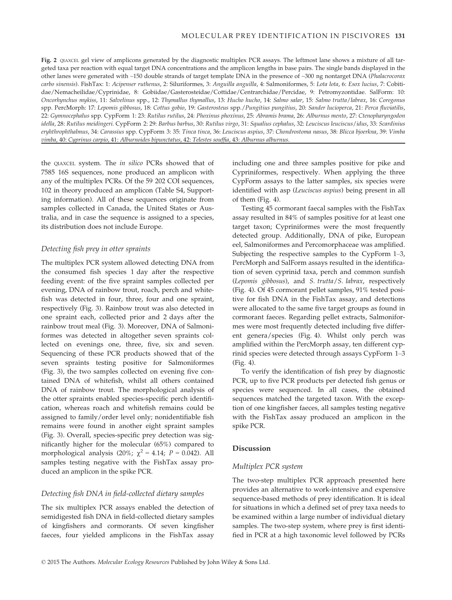Fig. 2 QIAXCEL gel view of amplicons generated by the diagnostic multiplex PCR assays. The leftmost lane shows a mixture of all targeted taxa per reaction with equal target DNA concentrations and the amplicon lengths in base pairs. The single bands displayed in the other lanes were generated with ~150 double strands of target template DNA in the presence of ~300 ng nontarget DNA (Phalacrocorax carbo sinensis). FishTax: 1: Acipenser ruthenus, 2: Siluriformes, 3: Anguilla anguilla, 4: Salmoniformes, 5: Lota lota, 6: Esox lucius, 7: Cobitidae/Nemacheilidae/Cyprinidae, 8: Gobiidae/Gasterosteidae/Cottidae/Centrarchidae/Percidae, 9: Petromyzontidae. SalForm: 10: Oncorhynchus mykiss, 11: Salvelinus spp., 12: Thymallus thymallus, 13: Hucho hucho, 14: Salmo salar, 15: Salmo trutta/labrax, 16: Coregonus spp. PercMorph: 17: Lepomis gibbosus, 18: Cottus gobio, 19: Gasterosteus spp./Pungitius pungitius, 20: Sander lucioperca, 21: Perca fluviatilis, 22: Gymnocephalus spp. CypForm 1: 23: Rutilus rutilus, 24: Phoxinus phoxinus, 25: Abramis brama, 26: Alburnus mento, 27: Ctenopharyngodon idella, 28: Rutilus meidingeri. CypForm 2: 29: Barbus barbus, 30: Rutilus virgo, 31: Squalius cephalus, 32: Leuciscus leuciscus/idus, 33: Scardinius eryhthrophthalmus, 34: Carassius spp. CypForm 3: 35: Tinca tinca, 36: Leuciscus aspius, 37: Chondrostoma nasus, 38: Blicca bjoerkna, 39: Vimba vimba, 40: Cyprinus carpio, 41: Alburnoides bipunctatus, 42: Telestes souffia, 43: Alburnus alburnus.

the QIAXCEL system. The in silico PCRs showed that of 7585 16S sequences, none produced an amplicon with any of the multiplex PCRs. Of the 59 202 COI sequences, 102 in theory produced an amplicon (Table S4, Supporting information). All of these sequences originate from samples collected in Canada, the United States or Australia, and in case the sequence is assigned to a species, its distribution does not include Europe.

#### Detecting fish prey in otter spraints

The multiplex PCR system allowed detecting DNA from the consumed fish species 1 day after the respective feeding event: of the five spraint samples collected per evening, DNA of rainbow trout, roach, perch and whitefish was detected in four, three, four and one spraint, respectively (Fig. 3). Rainbow trout was also detected in one spraint each, collected prior and 2 days after the rainbow trout meal (Fig. 3). Moreover, DNA of Salmoniformes was detected in altogether seven spraints collected on evenings one, three, five, six and seven. Sequencing of these PCR products showed that of the seven spraints testing positive for Salmoniformes (Fig. 3), the two samples collected on evening five contained DNA of whitefish, whilst all others contained DNA of rainbow trout. The morphological analysis of the otter spraints enabled species-specific perch identification, whereas roach and whitefish remains could be assigned to family/order level only; nonidentifiable fish remains were found in another eight spraint samples (Fig. 3). Overall, species-specific prey detection was significantly higher for the molecular (65%) compared to morphological analysis (20%;  $\chi^2 = 4.14$ ;  $P = 0.042$ ). All samples testing negative with the FishTax assay produced an amplicon in the spike PCR.

## Detecting fish DNA in field-collected dietary samples

The six multiplex PCR assays enabled the detection of semidigested fish DNA in field-collected dietary samples of kingfishers and cormorants. Of seven kingfisher faeces, four yielded amplicons in the FishTax assay including one and three samples positive for pike and Cypriniformes, respectively. When applying the three CypForm assays to the latter samples, six species were identified with asp (Leuciscus aspius) being present in all of them (Fig. 4).

Testing 45 cormorant faecal samples with the FishTax assay resulted in 84% of samples positive for at least one target taxon; Cypriniformes were the most frequently detected group. Additionally, DNA of pike, European eel, Salmoniformes and Percomorphaceae was amplified. Subjecting the respective samples to the CypForm 1–3, PercMorph and SalForm assays resulted in the identification of seven cyprinid taxa, perch and common sunfish (Lepomis gibbosus), and S. trutta/S. labrax, respectively (Fig. 4). Of 45 cormorant pellet samples, 91% tested positive for fish DNA in the FishTax assay, and detections were allocated to the same five target groups as found in cormorant faeces. Regarding pellet extracts, Salmoniformes were most frequently detected including five different genera/species (Fig. 4). Whilst only perch was amplified within the PercMorph assay, ten different cyprinid species were detected through assays CypForm 1–3 (Fig. 4).

To verify the identification of fish prey by diagnostic PCR, up to five PCR products per detected fish genus or species were sequenced. In all cases, the obtained sequences matched the targeted taxon. With the exception of one kingfisher faeces, all samples testing negative with the FishTax assay produced an amplicon in the spike PCR.

# **Discussion**

## Multiplex PCR system

The two-step multiplex PCR approach presented here provides an alternative to work-intensive and expensive sequence-based methods of prey identification. It is ideal for situations in which a defined set of prey taxa needs to be examined within a large number of individual dietary samples. The two-step system, where prey is first identified in PCR at a high taxonomic level followed by PCRs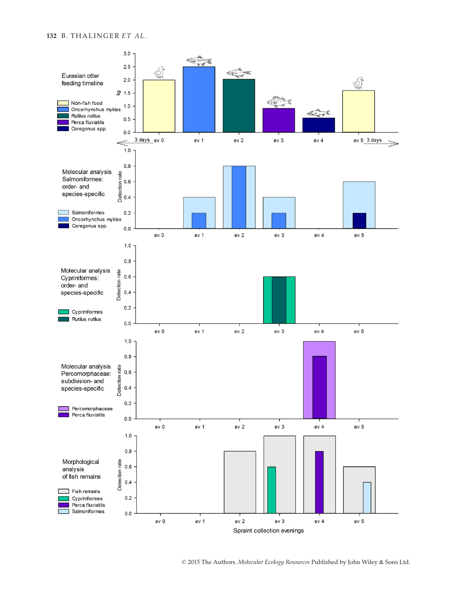

© 2015 The Authors. Molecular Ecology Resources Published by John Wiley & Sons Ltd.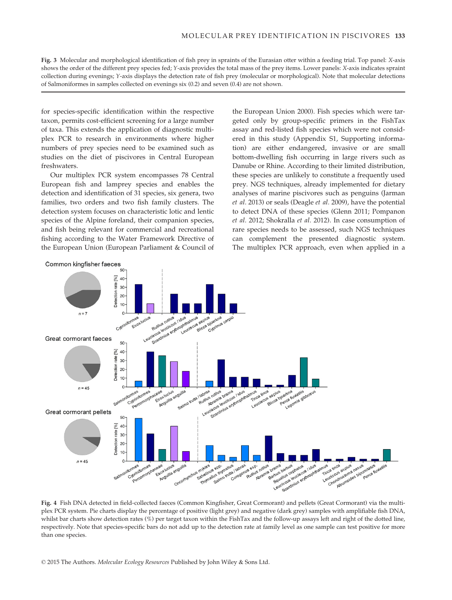Fig. 3 Molecular and morphological identification of fish prey in spraints of the Eurasian otter within a feeding trial. Top panel: X-axis shows the order of the different prey species fed; Y-axis provides the total mass of the prey items. Lower panels: X-axis indicates spraint collection during evenings; Y-axis displays the detection rate of fish prey (molecular or morphological). Note that molecular detections of Salmoniformes in samples collected on evenings six (0.2) and seven (0.4) are not shown.

for species-specific identification within the respective taxon, permits cost-efficient screening for a large number of taxa. This extends the application of diagnostic multiplex PCR to research in environments where higher numbers of prey species need to be examined such as studies on the diet of piscivores in Central European freshwaters.

Our multiplex PCR system encompasses 78 Central European fish and lamprey species and enables the detection and identification of 31 species, six genera, two families, two orders and two fish family clusters. The detection system focuses on characteristic lotic and lentic species of the Alpine foreland, their companion species, and fish being relevant for commercial and recreational fishing according to the Water Framework Directive of the European Union (European Parliament & Council of

the European Union 2000). Fish species which were targeted only by group-specific primers in the FishTax assay and red-listed fish species which were not considered in this study (Appendix S1, Supporting information) are either endangered, invasive or are small bottom-dwelling fish occurring in large rivers such as Danube or Rhine. According to their limited distribution, these species are unlikely to constitute a frequently used prey. NGS techniques, already implemented for dietary analyses of marine piscivores such as penguins (Jarman et al. 2013) or seals (Deagle et al. 2009), have the potential to detect DNA of these species (Glenn 2011; Pompanon et al. 2012; Shokralla et al. 2012). In case consumption of rare species needs to be assessed, such NGS techniques can complement the presented diagnostic system. The multiplex PCR approach, even when applied in a



Fig. 4 Fish DNA detected in field-collected faeces (Common Kingfisher, Great Cormorant) and pellets (Great Cormorant) via the multiplex PCR system. Pie charts display the percentage of positive (light grey) and negative (dark grey) samples with amplifiable fish DNA, whilst bar charts show detection rates (%) per target taxon within the FishTax and the follow-up assays left and right of the dotted line, respectively. Note that species-specific bars do not add up to the detection rate at family level as one sample can test positive for more than one species.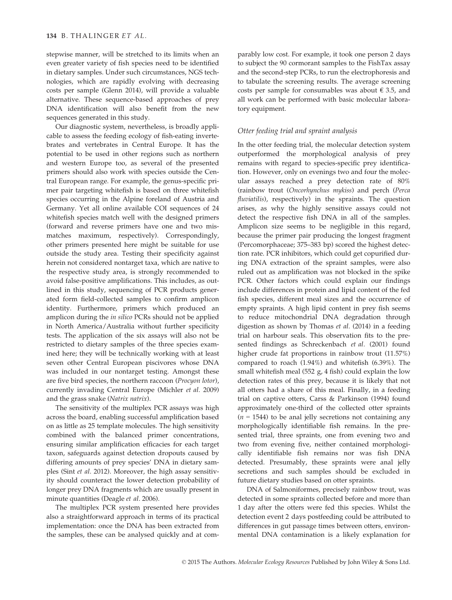stepwise manner, will be stretched to its limits when an even greater variety of fish species need to be identified in dietary samples. Under such circumstances, NGS technologies, which are rapidly evolving with decreasing costs per sample (Glenn 2014), will provide a valuable alternative. These sequence-based approaches of prey DNA identification will also benefit from the new sequences generated in this study.

Our diagnostic system, nevertheless, is broadly applicable to assess the feeding ecology of fish-eating invertebrates and vertebrates in Central Europe. It has the potential to be used in other regions such as northern and western Europe too, as several of the presented primers should also work with species outside the Central European range. For example, the genus-specific primer pair targeting whitefish is based on three whitefish species occurring in the Alpine foreland of Austria and Germany. Yet all online available COI sequences of 24 whitefish species match well with the designed primers (forward and reverse primers have one and two mismatches maximum, respectively). Correspondingly, other primers presented here might be suitable for use outside the study area. Testing their specificity against herein not considered nontarget taxa, which are native to the respective study area, is strongly recommended to avoid false-positive amplifications. This includes, as outlined in this study, sequencing of PCR products generated form field-collected samples to confirm amplicon identity. Furthermore, primers which produced an amplicon during the in silico PCRs should not be applied in North America/Australia without further specificity tests. The application of the six assays will also not be restricted to dietary samples of the three species examined here; they will be technically working with at least seven other Central European piscivores whose DNA was included in our nontarget testing. Amongst these are five bird species, the northern raccoon (Procyon lotor), currently invading Central Europe (Michler et al. 2009) and the grass snake (Natrix natrix).

The sensitivity of the multiplex PCR assays was high across the board, enabling successful amplification based on as little as 25 template molecules. The high sensitivity combined with the balanced primer concentrations, ensuring similar amplification efficacies for each target taxon, safeguards against detection dropouts caused by differing amounts of prey species' DNA in dietary samples (Sint et al. 2012). Moreover, the high assay sensitivity should counteract the lower detection probability of longer prey DNA fragments which are usually present in minute quantities (Deagle *et al.* 2006).

The multiplex PCR system presented here provides also a straightforward approach in terms of its practical implementation: once the DNA has been extracted from the samples, these can be analysed quickly and at comparably low cost. For example, it took one person 2 days to subject the 90 cormorant samples to the FishTax assay and the second-step PCRs, to run the electrophoresis and to tabulate the screening results. The average screening costs per sample for consumables was about  $\epsilon$  3.5, and all work can be performed with basic molecular laboratory equipment.

## Otter feeding trial and spraint analysis

In the otter feeding trial, the molecular detection system outperformed the morphological analysis of prey remains with regard to species-specific prey identification. However, only on evenings two and four the molecular assays reached a prey detection rate of 80% (rainbow trout (Oncorhynchus mykiss) and perch (Perca fluviatilis), respectively) in the spraints. The question arises, as why the highly sensitive assays could not detect the respective fish DNA in all of the samples. Amplicon size seems to be negligible in this regard, because the primer pair producing the longest fragment (Percomorphaceae; 375–383 bp) scored the highest detection rate. PCR inhibitors, which could get copurified during DNA extraction of the spraint samples, were also ruled out as amplification was not blocked in the spike PCR. Other factors which could explain our findings include differences in protein and lipid content of the fed fish species, different meal sizes and the occurrence of empty spraints. A high lipid content in prey fish seems to reduce mitochondrial DNA degradation through digestion as shown by Thomas et al. (2014) in a feeding trial on harbour seals. This observation fits to the presented findings as Schreckenbach et al. (2001) found higher crude fat proportions in rainbow trout (11.57%) compared to roach (1.94%) and whitefish (6.39%). The small whitefish meal (552 g, 4 fish) could explain the low detection rates of this prey, because it is likely that not all otters had a share of this meal. Finally, in a feeding trial on captive otters, Carss & Parkinson (1994) found approximately one-third of the collected otter spraints  $(n = 1544)$  to be anal jelly secretions not containing any morphologically identifiable fish remains. In the presented trial, three spraints, one from evening two and two from evening five, neither contained morphologically identifiable fish remains nor was fish DNA detected. Presumably, these spraints were anal jelly secretions and such samples should be excluded in future dietary studies based on otter spraints.

DNA of Salmoniformes, precisely rainbow trout, was detected in some spraints collected before and more than 1 day after the otters were fed this species. Whilst the detection event 2 days postfeeding could be attributed to differences in gut passage times between otters, environmental DNA contamination is a likely explanation for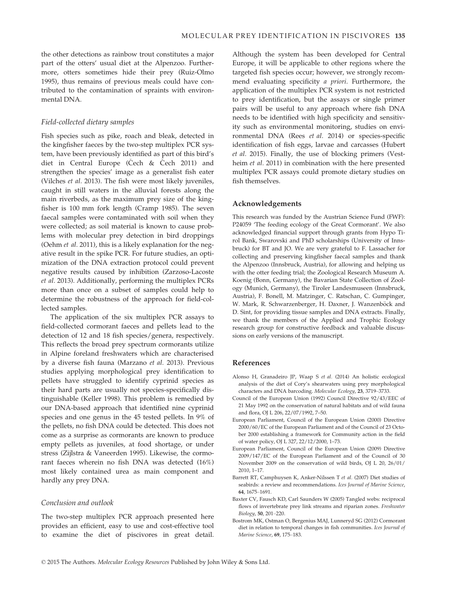the other detections as rainbow trout constitutes a major part of the otters' usual diet at the Alpenzoo. Furthermore, otters sometimes hide their prey (Ruiz-Olmo 1995), thus remains of previous meals could have contributed to the contamination of spraints with environmental DNA.

## Field-collected dietary samples

Fish species such as pike, roach and bleak, detected in the kingfisher faeces by the two-step multiplex PCR system, have been previously identified as part of this bird's diet in Central Europe (Cech & Cech 2011) and strengthen the species' image as a generalist fish eater (Vilches et al. 2013). The fish were most likely juveniles, caught in still waters in the alluvial forests along the main riverbeds, as the maximum prey size of the kingfisher is 100 mm fork length (Cramp 1985). The seven faecal samples were contaminated with soil when they were collected; as soil material is known to cause problems with molecular prey detection in bird droppings (Oehm et al. 2011), this is a likely explanation for the negative result in the spike PCR. For future studies, an optimization of the DNA extraction protocol could prevent negative results caused by inhibition (Zarzoso-Lacoste et al. 2013). Additionally, performing the multiplex PCRs more than once on a subset of samples could help to determine the robustness of the approach for field-collected samples.

The application of the six multiplex PCR assays to field-collected cormorant faeces and pellets lead to the detection of 12 and 18 fish species/genera, respectively. This reflects the broad prey spectrum cormorants utilize in Alpine foreland freshwaters which are characterised by a diverse fish fauna (Marzano et al. 2013). Previous studies applying morphological prey identification to pellets have struggled to identify cyprinid species as their hard parts are usually not species-specifically distinguishable (Keller 1998). This problem is remedied by our DNA-based approach that identified nine cyprinid species and one genus in the 45 tested pellets. In 9% of the pellets, no fish DNA could be detected. This does not come as a surprise as cormorants are known to produce empty pellets as juveniles, at food shortage, or under stress (Zijlstra & Vaneerden 1995). Likewise, the cormorant faeces wherein no fish DNA was detected (16%) most likely contained urea as main component and hardly any prey DNA.

#### Conclusion and outlook

The two-step multiplex PCR approach presented here provides an efficient, easy to use and cost-effective tool to examine the diet of piscivores in great detail.

Although the system has been developed for Central Europe, it will be applicable to other regions where the targeted fish species occur; however, we strongly recommend evaluating specificity a priori. Furthermore, the application of the multiplex PCR system is not restricted to prey identification, but the assays or single primer pairs will be useful to any approach where fish DNA needs to be identified with high specificity and sensitivity such as environmental monitoring, studies on environmental DNA (Rees et al. 2014) or species-specific identification of fish eggs, larvae and carcasses (Hubert et al. 2015). Finally, the use of blocking primers (Vestheim et al. 2011) in combination with the here presented multiplex PCR assays could promote dietary studies on fish themselves.

#### Acknowledgements

This research was funded by the Austrian Science Fund (FWF): P24059 'The feeding ecology of the Great Cormorant'. We also acknowledged financial support through grants from Hypo Tirol Bank, Swarovski and PhD scholarships (University of Innsbruck) for BT and JO. We are very grateful to F. Lassacher for collecting and preserving kingfisher faecal samples and thank the Alpenzoo (Innsbruck, Austria), for allowing and helping us with the otter feeding trial; the Zoological Research Museum A. Koenig (Bonn, Germany), the Bavarian State Collection of Zoology (Munich, Germany), the Tiroler Landesmuseen (Innsbruck, Austria), F. Bonell, M. Matzinger, C. Ratschan, C. Gumpinger, W. Mark, R. Schwarzenberger, H. Daxner, J. Wanzenböck and D. Sint, for providing tissue samples and DNA extracts. Finally, we thank the members of the Applied and Trophic Ecology research group for constructive feedback and valuable discussions on early versions of the manuscript.

#### References

- Alonso H, Granadeiro JP, Waap S et al. (2014) An holistic ecological analysis of the diet of Cory's shearwaters using prey morphological characters and DNA barcoding. Molecular Ecology, 23, 3719–3733.
- Council of the European Union (1992) Council Directive 92/43/EEC of 21 May 1992 on the conservation of natural habitats and of wild fauna and flora, OJ L 206, 22/07/1992, 7–50.
- European Parliament, Council of the European Union (2000) Directive 2000/60/EC of the European Parliament and of the Council of 23 October 2000 establishing a framework for Community action in the field of water policy, OJ L 327, 22/12/2000, 1–73.
- European Parliament, Council of the European Union (2009) Directive 2009/147/EC of the European Parliament and of the Council of 30 November 2009 on the conservation of wild birds, OJ L 20, 26/01/ 2010, 1–17.
- Barrett RT, Camphuysen K, Anker-Nilssen T et al. (2007) Diet studies of seabirds: a review and recommendations. Ices Journal of Marine Science, 64, 1675–1691.
- Baxter CV, Fausch KD, Carl Saunders W (2005) Tangled webs: reciprocal flows of invertebrate prey link streams and riparian zones. Freshwater Biology, 50, 201–220.
- Bostrom MK, Ostman O, Bergenius MAJ, Lunneryd SG (2012) Cormorant diet in relation to temporal changes in fish communities. Ices Journal of Marine Science, 69, 175–183.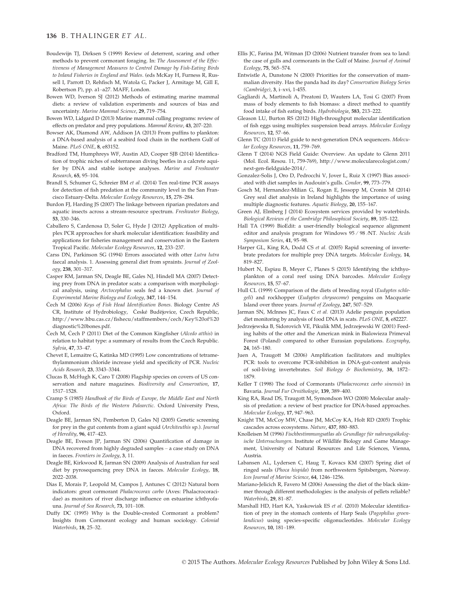#### 136 B. THALINGER ET AL.

- Boudewijn TJ, Dirksen S (1999) Review of deterrent, scaring and other methods to prevent cormorant foraging. In: The Assessment of the Effectiveness of Management Measures to Control Damage by Fish-Eating Birds to Inland Fisheries in England and Wales. (eds McKay H, Furness R, Russell I, Parrott D, Rehfisch M, Watola G, Packer J, Armitage M, Gill E, Robertson P), pp. a1–a27. MAFF, London.
- Bowen WD, Iverson SJ (2012) Methods of estimating marine mammal diets: a review of validation experiments and sources of bias and uncertainty. Marine Mammal Science, 29, 719–754.
- Bowen WD, Lidgard D (2013) Marine mammal culling programs: review of effects on predator and prey populations. Mammal Review, 43, 207–220.
- Bowser AK, Diamond AW, Addison JA (2013) From puffins to plankton: a DNA-based analysis of a seabird food chain in the northern Gulf of Maine. PLoS ONE, 8, e83152.
- Bradford TM, Humphreys WF, Austin AD, Cooper SJB (2014) Identification of trophic niches of subterranean diving beetles in a calcrete aquifer by DNA and stable isotope analyses. Marine and Freshwater Research, 65, 95–104.
- Brandl S, Schumer G, Schreier BM et al. (2014) Ten real-time PCR assays for detection of fish predation at the community level in the San Francisco Estuary-Delta. Molecular Ecology Resources, 15, 278–284.
- Burdon FJ, Harding JS (2007) The linkage between riparian predators and aquatic insects across a stream-resource spectrum. Freshwater Biology, 53, 330–346.
- Caballero S, Cardenosa D, Soler G, Hyde J (2012) Application of multiplex PCR approaches for shark molecular identification: feasibility and applications for fisheries management and conservation in the Eastern Tropical Pacific. Molecular Ecology Resources, 12, 233–237.
- Carss DN, Parkinson SG (1994) Errors associated with otter Lutra lutra faecal analysis. 1. Assessing general diet from spraints. Journal of Zoology, 238, 301–317.
- Casper RM, Jarman SN, Deagle BE, Gales NJ, Hindell MA (2007) Detecting prey from DNA in predator scats: a comparison with morphological analysis, using Arctocephalus seals fed a known diet. Journal of Experimental Marine Biology and Ecology, 347, 144–154.
- Cech M (2006) Keys of Fish Head Identification Bones. Biology Centre AS CR, Institute of Hydrobiology, České Budějovice, Czech Republic, [http://www.hbu.cas.cz/fishecu/staffmembers/cech/Key%20of%20](http://www.hbu.cas.cz/fishecu/staffmembers/cech/Key%20of%20diagnostic%20bones.pdf) [diagnostic%20bones.pdf.](http://www.hbu.cas.cz/fishecu/staffmembers/cech/Key%20of%20diagnostic%20bones.pdf)
- Čech M, Čech P (2011) Diet of the Common Kingfisher (Alcedo atthis) in relation to habitat type: a summary of results from the Czech Republic. Sylvia, 47, 33–47.
- Chevet E, Lemaitre G, Katinka MD (1995) Low concentrations of tetramethylammonium chloride increase yield and specificity of PCR. Nucleic Acids Research, 23, 3343–3344.
- Clucas B, McHugh K, Caro T (2008) Flagship species on covers of US conservation and nature magazines. Biodiversity and Conservation, 17, 1517–1528.
- Cramp S (1985) Handbook of the Birds of Europe, the Middle East and North Africa: The Birds of the Western Palearctic. Oxford University Press, Oxford.
- Deagle BE, Jarman SN, Pemberton D, Gales NJ (2005) Genetic screening for prey in the gut contents from a giant squid (Architeuthis sp.). Journal of Heredity, 96, 417–423.
- Deagle BE, Eveson JP, Jarman SN (2006) Quantification of damage in DNA recovered from highly degraded samples – a case study on DNA in faeces. Frontiers in Zoology, 3, 11.
- Deagle BE, Kirkwood R, Jarman SN (2009) Analysis of Australian fur seal diet by pyrosequencing prey DNA in faeces. Molecular Ecology, 18, 2022–2038.
- Dias E, Morais P, Leopold M, Campos J, Antunes C (2012) Natural born indicators: great cormorant Phalacrocorax carbo (Aves: Phalacrocoracidae) as monitors of river discharge influence on estuarine ichthyofauna. Journal of Sea Research, 73, 101–108.
- Duffy DC (1995) Why is the Double-crested Cormorant a problem? Insights from Cormorant ecology and human sociology. Colonial Waterbirds, 18, 25–32.
- Ellis JC, Farina JM, Witman JD (2006) Nutrient transfer from sea to land: the case of gulls and cormorants in the Gulf of Maine. Journal of Animal Ecology, 75, 565–574.
- Entwistle A, Dunstone N (2000) Priorities for the conservation of mammalian diversity. Has the panda had its day? Conservation Biology Series (Cambridge), 3, i–xvi, 1-455.
- Gagliardi A, Martinoli A, Preatoni D, Wauters LA, Tosi G (2007) From mass of body elements to fish biomass: a direct method to quantify food intake of fish eating birds. Hydrobiologia, 583, 213–222.
- Gleason LU, Burton RS (2012) High-throughput molecular identification of fish eggs using multiplex suspension bead arrays. Molecular Ecology Resources, 12, 57–66.
- Glenn TC (2011) Field guide to next-generation DNA sequencers. Molecular Ecology Resources, 11, 759–769.
- Glenn T (2014) NGS Field Guide: Overview. An update to Glenn 2011 (Mol. Ecol. Resou. 11, 759-769), [http://www.molecularecologist.com/](http://www.molecularecologist.com/next-gen-fieldguide-2014/) [next-gen-fieldguide-2014/.](http://www.molecularecologist.com/next-gen-fieldguide-2014/)
- Gonzalez-Solis J, Oro D, Pedrocchi V, Jover L, Ruiz X (1997) Bias associated with diet samples in Audouin's gulls. Condor, 99, 773–779.
- Gosch M, Hernandez-Milian G, Rogan E, Jessopp M, Cronin M (2014) Grey seal diet analysis in Ireland highlights the importance of using multiple diagnostic features. Aquatic Biology, 20, 155–167.
- Green AJ, Elmberg J (2014) Ecosystem services provided by waterbirds. Biological Reviews of the Cambridge Philosophical Society, 89, 105–122.
- Hall TA (1999) BioEdit: a user-friendly biological sequence alignment editor and analysis program for Windows 95 ⁄ 98 ⁄NT. Nucleic Acids Symposium Series, 41, 95–98.
- Harper GL, King RA, Dodd CS et al. (2005) Rapid screening of invertebrate predators for multiple prey DNA targets. Molecular Ecology, 14, 819–827.
- Hubert N, Espiau B, Meyer C, Planes S (2015) Identifying the ichthyoplankton of a coral reef using DNA barcodes. Molecular Ecology Resources, 15, 57–67.
- Hull CL (1999) Comparison of the diets of breeding royal (Eudyptes schlegeli) and rockhopper (Eudyptes chrysocome) penguins on Macquarie Island over three years. Journal of Zoology, 247, 507–529.
- Jarman SN, McInnes JC, Faux C et al. (2013) Adelie penguin population diet monitoring by analysis of food DNA in scats. PLoS ONE, 8, e82227.
- Jedrzejewska B, Sidorovich VE, Pikulik MM, Jedrzejewski W (2001) Feeding habits of the otter and the American mink in Bialowieza Primeval Forest (Poland) compared to other Eurasian populations. Ecography, 24, 165–180.
- Juen A, Traugott M (2006) Amplification facilitators and multiplex PCR: tools to overcome PCR-inhibition in DNA-gut-content analysis of soil-living invertebrates. Soil Biology & Biochemistry, 38, 1872– 1879.
- Keller T (1998) The food of Cormorants (Phalacrocorax carbo sinensis) in Bavaria. Journal Fur Ornithologie, 139, 389–400.
- King RA, Read DS, Traugott M, Symondson WO (2008) Molecular analysis of predation: a review of best practice for DNA-based approaches. Molecular Ecology, 17, 947–963.
- Knight TM, McCoy MW, Chase JM, McCoy KA, Holt RD (2005) Trophic cascades across ecosystems. Nature, 437, 880–883.
- Knolleisen M (1996) Fischbestimmungsatlas als Grundlage für nahrungsökologische Untersuchungen. Institute of Wildlife Biology and Game Management, University of Natural Resources and Life Sciences, Vienna, Austria.
- Labansen AL, Lydersen C, Haug T, Kovacs KM (2007) Spring diet of ringed seals (Phoca hispida) from northwestern Spitsbergen, Norway. Ices Journal of Marine Science, 64, 1246–1256.
- Mariano-Jelicich R, Favero M (2006) Assessing the diet of the black skimmer through different methodologies: is the analysis of pellets reliable? Waterbirds, 29, 81–87.
- Marshall HD, Hart KA, Yaskowiak ES et al. (2010) Molecular identification of prey in the stomach contents of Harp Seals (Pagophilus groenlandicus) using species-specific oligonucleotides. Molecular Ecology Resources, 10, 181–189.